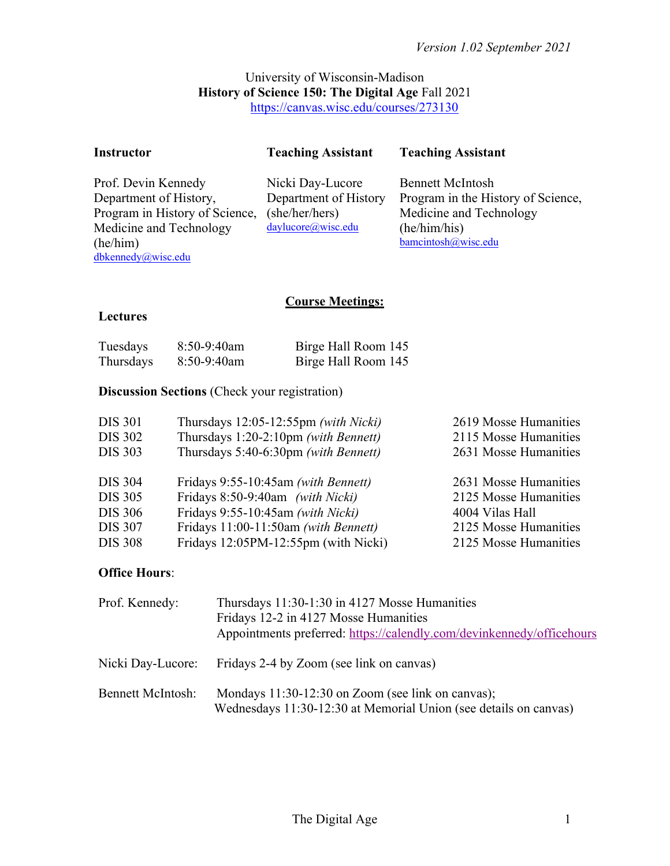# University of Wisconsin-Madison **History of Science 150: The Digital Age** Fall 2021 https://canvas.wisc.edu/courses/273130

| <b>Instructor</b> |  | <b>Teaching Assistant</b> | <b>Teaching Assistant</b>  |  |
|-------------------|--|---------------------------|----------------------------|--|
| n cn              |  |                           | $\cdots$ $\cdots$ $\cdots$ |  |

Prof. Devin Kennedy Department of History, Program in History of Science, Medicine and Technology (he/him) dbkennedy@wisc.edu

Nicki Day-Lucore Department of History (she/her/hers) daylucore@wisc.edu

Bennett McIntosh Program in the History of Science, Medicine and Technology (he/him/his) bamcintosh@wisc.edu

# **Course Meetings:**

# **Lectures**

| Tuesdays  | 8:50-9:40am | Birge Hall Room 145 |
|-----------|-------------|---------------------|
| Thursdays | 8:50-9:40am | Birge Hall Room 145 |

# **Discussion Sections** (Check your registration)

| <b>DIS 301</b> | Thursdays 12:05-12:55pm (with Nicki) | 2619 Mosse Humanities |
|----------------|--------------------------------------|-----------------------|
| <b>DIS 302</b> | Thursdays 1:20-2:10pm (with Bennett) | 2115 Mosse Humanities |
| <b>DIS 303</b> | Thursdays 5:40-6:30pm (with Bennett) | 2631 Mosse Humanities |
| <b>DIS 304</b> | Fridays 9:55-10:45am (with Bennett)  | 2631 Mosse Humanities |
| <b>DIS 305</b> | Fridays 8:50-9:40am (with Nicki)     | 2125 Mosse Humanities |
| <b>DIS 306</b> | Fridays 9:55-10:45am (with Nicki)    | 4004 Vilas Hall       |
| <b>DIS 307</b> | Fridays 11:00-11:50am (with Bennett) | 2125 Mosse Humanities |
| <b>DIS 308</b> | Fridays 12:05PM-12:55pm (with Nicki) | 2125 Mosse Humanities |

# **Office Hours**:

| Prof. Kennedy:           | Thursdays 11:30-1:30 in 4127 Mosse Humanities<br>Fridays 12-2 in 4127 Mosse Humanities<br>Appointments preferred: https://calendly.com/devinkennedy/officehours |
|--------------------------|-----------------------------------------------------------------------------------------------------------------------------------------------------------------|
| Nicki Day-Lucore:        | Fridays 2-4 by Zoom (see link on canvas)                                                                                                                        |
| <b>Bennett McIntosh:</b> | Mondays 11:30-12:30 on Zoom (see link on canvas);<br>Wednesdays 11:30-12:30 at Memorial Union (see details on canvas)                                           |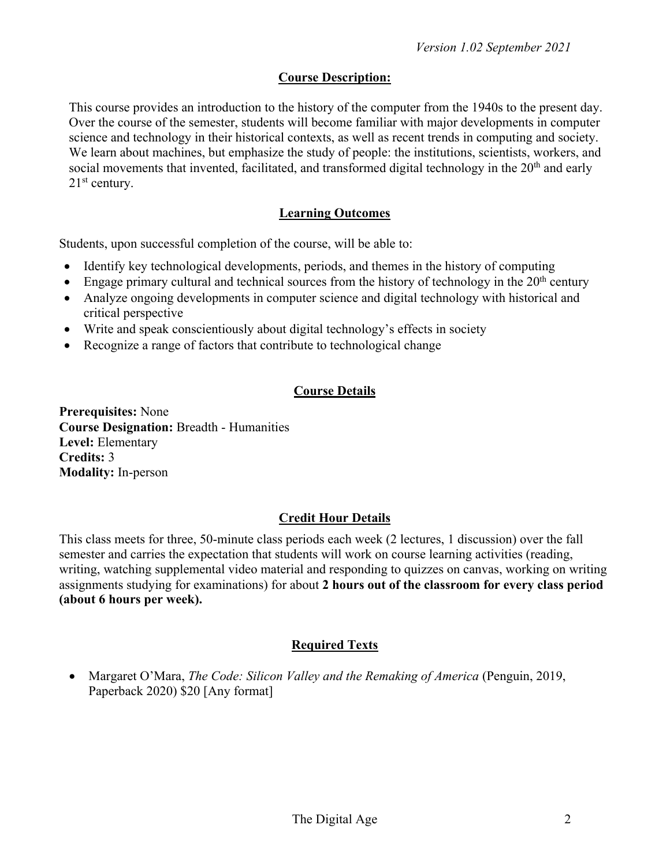# **Course Description:**

This course provides an introduction to the history of the computer from the 1940s to the present day. Over the course of the semester, students will become familiar with major developments in computer science and technology in their historical contexts, as well as recent trends in computing and society. We learn about machines, but emphasize the study of people: the institutions, scientists, workers, and social movements that invented, facilitated, and transformed digital technology in the 20<sup>th</sup> and early  $21<sup>st</sup>$  century.

# **Learning Outcomes**

Students, upon successful completion of the course, will be able to:

- Identify key technological developments, periods, and themes in the history of computing
- Engage primary cultural and technical sources from the history of technology in the  $20<sup>th</sup>$  century
- Analyze ongoing developments in computer science and digital technology with historical and critical perspective
- Write and speak conscientiously about digital technology's effects in society
- Recognize a range of factors that contribute to technological change

# **Course Details**

**Prerequisites:** None **Course Designation:** Breadth - Humanities **Level:** Elementary **Credits:** 3 **Modality:** In-person

# **Credit Hour Details**

This class meets for three, 50-minute class periods each week (2 lectures, 1 discussion) over the fall semester and carries the expectation that students will work on course learning activities (reading, writing, watching supplemental video material and responding to quizzes on canvas, working on writing assignments studying for examinations) for about **2 hours out of the classroom for every class period (about 6 hours per week).** 

# **Required Texts**

• Margaret O'Mara, *The Code: Silicon Valley and the Remaking of America* (Penguin, 2019, Paperback 2020) \$20 [Any format]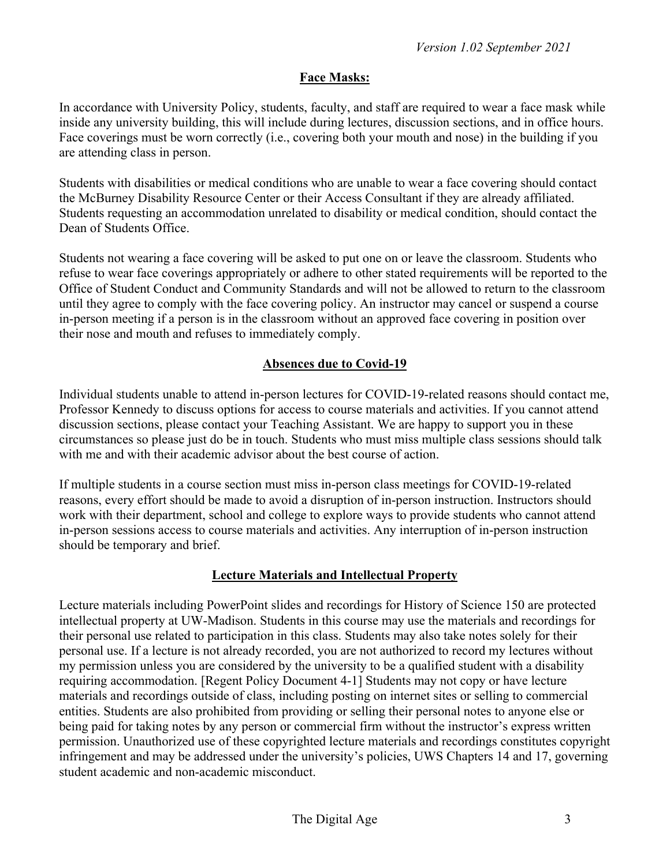# **Face Masks:**

In accordance with University Policy, students, faculty, and staff are required to wear a face mask while inside any university building, this will include during lectures, discussion sections, and in office hours. Face coverings must be worn correctly (i.e., covering both your mouth and nose) in the building if you are attending class in person.

Students with disabilities or medical conditions who are unable to wear a face covering should contact the McBurney Disability Resource Center or their Access Consultant if they are already affiliated. Students requesting an accommodation unrelated to disability or medical condition, should contact the Dean of Students Office.

Students not wearing a face covering will be asked to put one on or leave the classroom. Students who refuse to wear face coverings appropriately or adhere to other stated requirements will be reported to the Office of Student Conduct and Community Standards and will not be allowed to return to the classroom until they agree to comply with the face covering policy. An instructor may cancel or suspend a course in-person meeting if a person is in the classroom without an approved face covering in position over their nose and mouth and refuses to immediately comply.

# **Absences due to Covid-19**

Individual students unable to attend in-person lectures for COVID-19-related reasons should contact me, Professor Kennedy to discuss options for access to course materials and activities. If you cannot attend discussion sections, please contact your Teaching Assistant. We are happy to support you in these circumstances so please just do be in touch. Students who must miss multiple class sessions should talk with me and with their academic advisor about the best course of action.

If multiple students in a course section must miss in-person class meetings for COVID-19-related reasons, every effort should be made to avoid a disruption of in-person instruction. Instructors should work with their department, school and college to explore ways to provide students who cannot attend in-person sessions access to course materials and activities. Any interruption of in-person instruction should be temporary and brief.

# **Lecture Materials and Intellectual Property**

Lecture materials including PowerPoint slides and recordings for History of Science 150 are protected intellectual property at UW-Madison. Students in this course may use the materials and recordings for their personal use related to participation in this class. Students may also take notes solely for their personal use. If a lecture is not already recorded, you are not authorized to record my lectures without my permission unless you are considered by the university to be a qualified student with a disability requiring accommodation. [Regent Policy Document 4-1] Students may not copy or have lecture materials and recordings outside of class, including posting on internet sites or selling to commercial entities. Students are also prohibited from providing or selling their personal notes to anyone else or being paid for taking notes by any person or commercial firm without the instructor's express written permission. Unauthorized use of these copyrighted lecture materials and recordings constitutes copyright infringement and may be addressed under the university's policies, UWS Chapters 14 and 17, governing student academic and non-academic misconduct.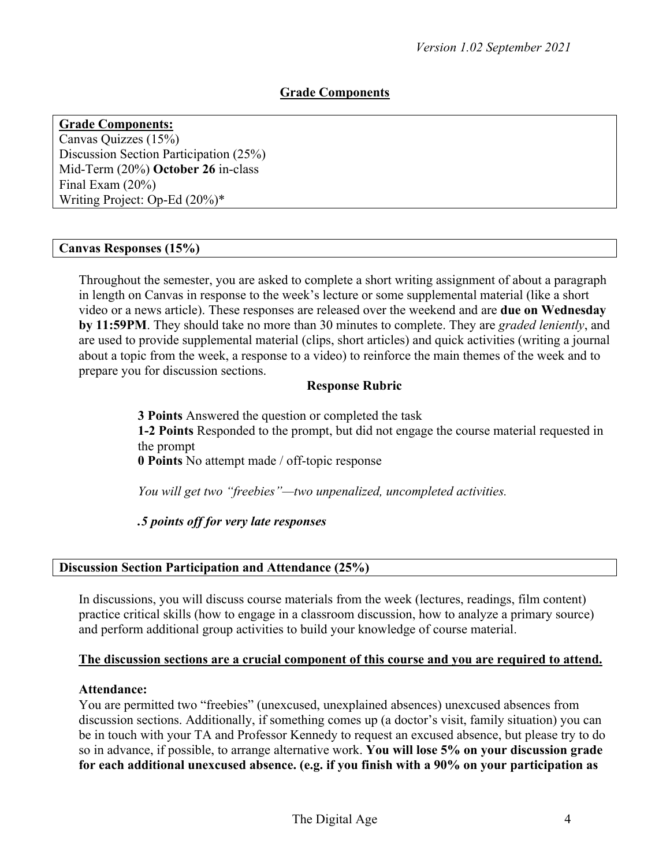# **Grade Components**

**Grade Components:** Canvas Quizzes (15%) Discussion Section Participation (25%) Mid-Term (20%) **October 26** in-class Final Exam (20%) Writing Project: Op-Ed (20%)\*

# **Canvas Responses (15%)**

Throughout the semester, you are asked to complete a short writing assignment of about a paragraph in length on Canvas in response to the week's lecture or some supplemental material (like a short video or a news article). These responses are released over the weekend and are **due on Wednesday by 11:59PM**. They should take no more than 30 minutes to complete. They are *graded leniently*, and are used to provide supplemental material (clips, short articles) and quick activities (writing a journal about a topic from the week, a response to a video) to reinforce the main themes of the week and to prepare you for discussion sections.

## **Response Rubric**

**3 Points** Answered the question or completed the task **1-2 Points** Responded to the prompt, but did not engage the course material requested in the prompt **0 Points** No attempt made / off-topic response

*You will get two "freebies"—two unpenalized, uncompleted activities.*

*.5 points off for very late responses*

## **Discussion Section Participation and Attendance (25%)**

In discussions, you will discuss course materials from the week (lectures, readings, film content) practice critical skills (how to engage in a classroom discussion, how to analyze a primary source) and perform additional group activities to build your knowledge of course material.

## **The discussion sections are a crucial component of this course and you are required to attend.**

## **Attendance:**

You are permitted two "freebies" (unexcused, unexplained absences) unexcused absences from discussion sections. Additionally, if something comes up (a doctor's visit, family situation) you can be in touch with your TA and Professor Kennedy to request an excused absence, but please try to do so in advance, if possible, to arrange alternative work. **You will lose 5% on your discussion grade for each additional unexcused absence. (e.g. if you finish with a 90% on your participation as**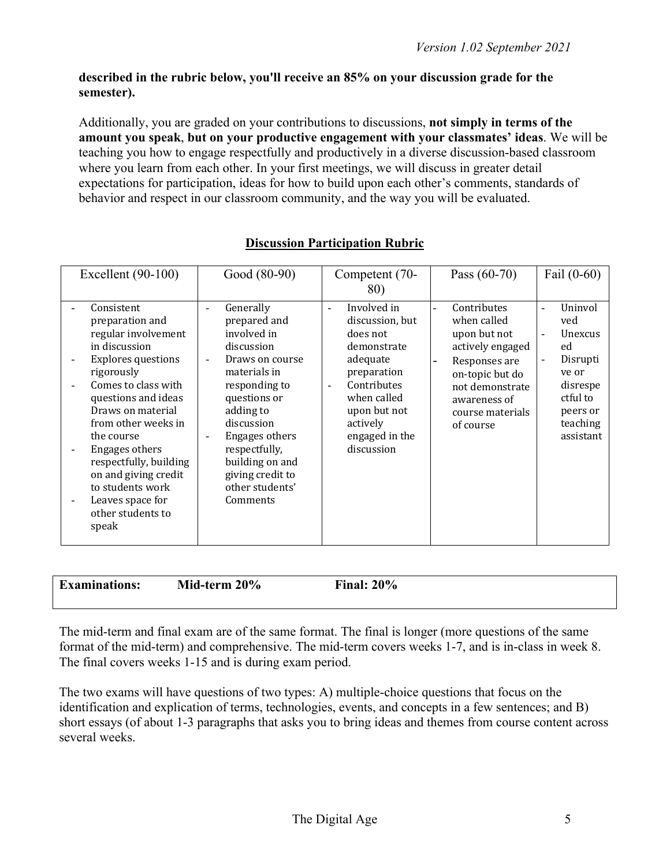# **described in the rubric below, you'll receive an 85% on your discussion grade for the semester).**

Additionally, you are graded on your contributions to discussions, **not simply in terms of the amount you speak**, **but on your productive engagement with your classmates' ideas**. We will be teaching you how to engage respectfully and productively in a diverse discussion-based classroom where you learn from each other. In your first meetings, we will discuss in greater detail expectations for participation, ideas for how to build upon each other's comments, standards of behavior and respect in our classroom community, and the way you will be evaluated.

| Excellent $(90-100)$                                                                                                                                                                                                                                                                                                                                                                                          | Good (80-90)                                                                                                                                                                                                                                                                                                                                    | Competent (70-<br>80)                                                                                                                                                                                                        | Pass $(60-70)$                                                                                                                                                         | Fail $(0-60)$                                                                                                                                                                            |
|---------------------------------------------------------------------------------------------------------------------------------------------------------------------------------------------------------------------------------------------------------------------------------------------------------------------------------------------------------------------------------------------------------------|-------------------------------------------------------------------------------------------------------------------------------------------------------------------------------------------------------------------------------------------------------------------------------------------------------------------------------------------------|------------------------------------------------------------------------------------------------------------------------------------------------------------------------------------------------------------------------------|------------------------------------------------------------------------------------------------------------------------------------------------------------------------|------------------------------------------------------------------------------------------------------------------------------------------------------------------------------------------|
| Consistent<br>$\overline{a}$<br>preparation and<br>regular involvement<br>in discussion<br><b>Explores questions</b><br>rigorously<br>Comes to class with<br>questions and ideas<br>Draws on material<br>from other weeks in<br>the course<br><b>Engages others</b><br>respectfully, building<br>on and giving credit<br>to students work<br>Leaves space for<br>$\overline{a}$<br>other students to<br>speak | Generally<br>$\overline{\phantom{0}}$<br>prepared and<br>involved in<br>discussion<br>Draws on course<br>$\overline{\phantom{a}}$<br>materials in<br>responding to<br>questions or<br>adding to<br>discussion<br><b>Engages others</b><br>$\blacksquare$<br>respectfully,<br>building on and<br>giving credit to<br>other students'<br>Comments | Involved in<br>$\blacksquare$<br>discussion, but<br>does not<br>demonstrate<br>adequate<br>preparation<br>Contributes<br>$\overline{\phantom{0}}$<br>when called<br>upon but not<br>actively<br>engaged in the<br>discussion | Contributes<br>when called<br>upon but not<br>actively engaged<br>Responses are<br>on-topic but do<br>not demonstrate<br>awareness of<br>course materials<br>of course | Uninvol<br>$\blacksquare$<br>ved<br><b>Unexcus</b><br>$\blacksquare$<br>ed<br>Disrupti<br>$\overline{\phantom{a}}$<br>ve or<br>disrespe<br>ctful to<br>peers or<br>teaching<br>assistant |

# **Discussion Participation Rubric**

**Examinations: Mid-term 20% Final: 20%** 

The mid-term and final exam are of the same format. The final is longer (more questions of the same format of the mid-term) and comprehensive. The mid-term covers weeks 1-7, and is in-class in week 8. The final covers weeks 1-15 and is during exam period.

The two exams will have questions of two types: A) multiple-choice questions that focus on the identification and explication of terms, technologies, events, and concepts in a few sentences; and B) short essays (of about 1-3 paragraphs that asks you to bring ideas and themes from course content across several weeks.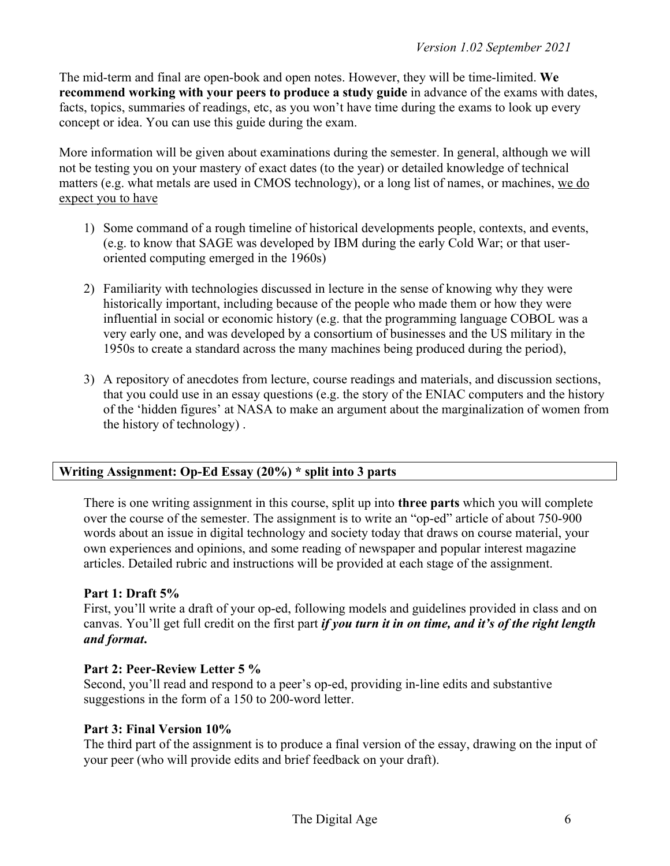The mid-term and final are open-book and open notes. However, they will be time-limited. **We recommend working with your peers to produce a study guide** in advance of the exams with dates, facts, topics, summaries of readings, etc, as you won't have time during the exams to look up every concept or idea. You can use this guide during the exam.

More information will be given about examinations during the semester. In general, although we will not be testing you on your mastery of exact dates (to the year) or detailed knowledge of technical matters (e.g. what metals are used in CMOS technology), or a long list of names, or machines, we do expect you to have

- 1) Some command of a rough timeline of historical developments people, contexts, and events, (e.g. to know that SAGE was developed by IBM during the early Cold War; or that useroriented computing emerged in the 1960s)
- 2) Familiarity with technologies discussed in lecture in the sense of knowing why they were historically important, including because of the people who made them or how they were influential in social or economic history (e.g. that the programming language COBOL was a very early one, and was developed by a consortium of businesses and the US military in the 1950s to create a standard across the many machines being produced during the period),
- 3) A repository of anecdotes from lecture, course readings and materials, and discussion sections, that you could use in an essay questions (e.g. the story of the ENIAC computers and the history of the 'hidden figures' at NASA to make an argument about the marginalization of women from the history of technology) .

# **Writing Assignment: Op-Ed Essay (20%) \* split into 3 parts**

There is one writing assignment in this course, split up into **three parts** which you will complete over the course of the semester. The assignment is to write an "op-ed" article of about 750-900 words about an issue in digital technology and society today that draws on course material, your own experiences and opinions, and some reading of newspaper and popular interest magazine articles. Detailed rubric and instructions will be provided at each stage of the assignment.

# **Part 1: Draft 5%**

First, you'll write a draft of your op-ed, following models and guidelines provided in class and on canvas. You'll get full credit on the first part *if you turn it in on time, and it's of the right length and format***.**

# **Part 2: Peer-Review Letter 5 %**

Second, you'll read and respond to a peer's op-ed, providing in-line edits and substantive suggestions in the form of a 150 to 200-word letter.

# **Part 3: Final Version 10%**

The third part of the assignment is to produce a final version of the essay, drawing on the input of your peer (who will provide edits and brief feedback on your draft).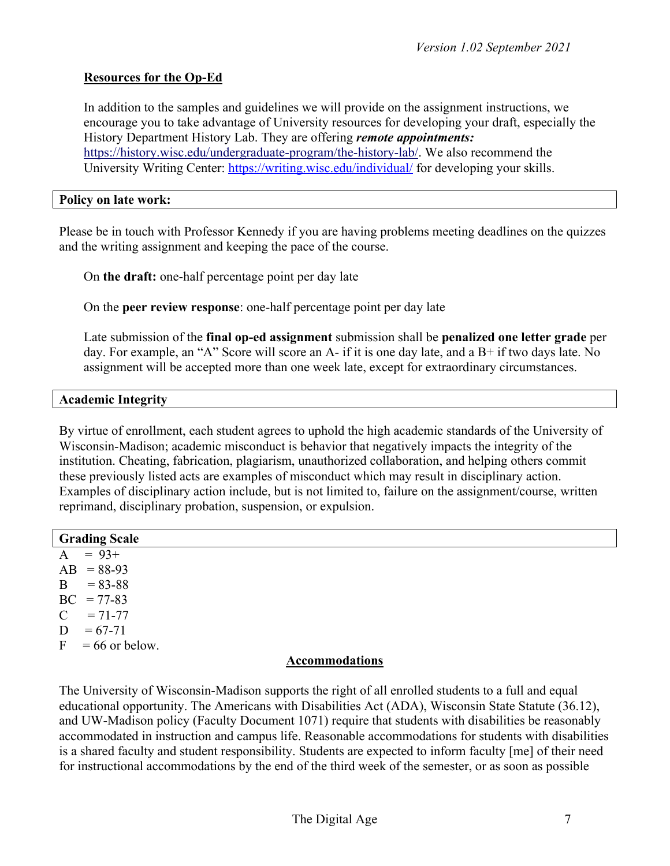# **Resources for the Op-Ed**

In addition to the samples and guidelines we will provide on the assignment instructions, we encourage you to take advantage of University resources for developing your draft, especially the History Department History Lab. They are offering *remote appointments:*  https://history.wisc.edu/undergraduate-program/the-history-lab/. We also recommend the University Writing Center: https://writing.wisc.edu/individual/ for developing your skills.

#### **Policy on late work:**

Please be in touch with Professor Kennedy if you are having problems meeting deadlines on the quizzes and the writing assignment and keeping the pace of the course.

On **the draft:** one-half percentage point per day late

On the **peer review response**: one-half percentage point per day late

Late submission of the **final op-ed assignment** submission shall be **penalized one letter grade** per day. For example, an "A" Score will score an A- if it is one day late, and a B+ if two days late. No assignment will be accepted more than one week late, except for extraordinary circumstances.

## **Academic Integrity**

By virtue of enrollment, each student agrees to uphold the high academic standards of the University of Wisconsin-Madison; academic misconduct is behavior that negatively impacts the integrity of the institution. Cheating, fabrication, plagiarism, unauthorized collaboration, and helping others commit these previously listed acts are examples of misconduct which may result in disciplinary action. Examples of disciplinary action include, but is not limited to, failure on the assignment/course, written reprimand, disciplinary probation, suspension, or expulsion.

| <b>Grading Scale</b>       |
|----------------------------|
| $= 93+$<br>$\mathbf{A}$    |
| $AB = 88-93$               |
| B<br>$= 83 - 88$           |
| $BC = 77-83$               |
| $\mathbf C$<br>$= 71 - 77$ |
| D<br>$= 67 - 71$           |
| $F = 66$ or below.         |
| <b>Accommodations</b>      |

The University of Wisconsin-Madison supports the right of all enrolled students to a full and equal educational opportunity. The Americans with Disabilities Act (ADA), Wisconsin State Statute (36.12), and UW-Madison policy (Faculty Document 1071) require that students with disabilities be reasonably accommodated in instruction and campus life. Reasonable accommodations for students with disabilities is a shared faculty and student responsibility. Students are expected to inform faculty [me] of their need for instructional accommodations by the end of the third week of the semester, or as soon as possible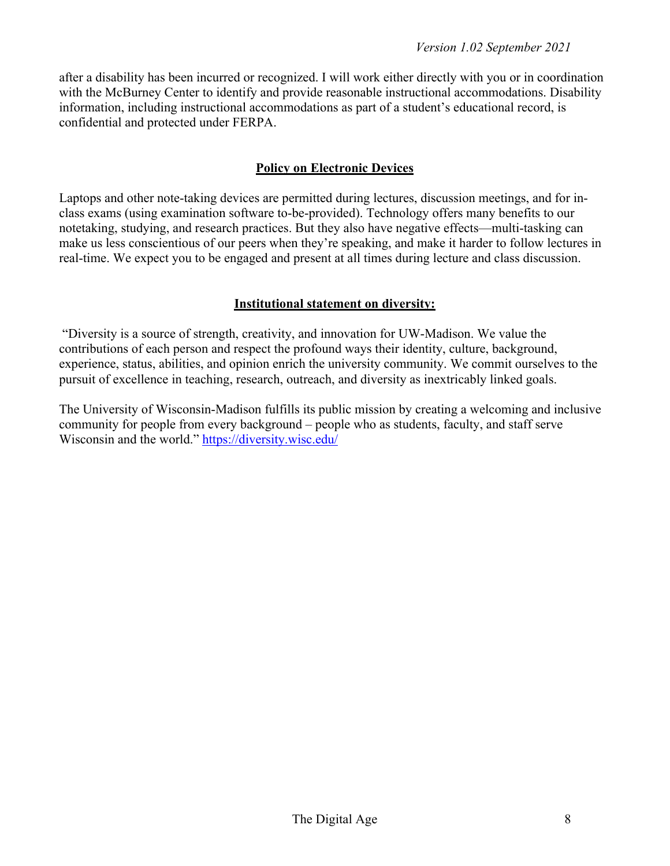after a disability has been incurred or recognized. I will work either directly with you or in coordination with the McBurney Center to identify and provide reasonable instructional accommodations. Disability information, including instructional accommodations as part of a student's educational record, is confidential and protected under FERPA.

# **Policy on Electronic Devices**

Laptops and other note-taking devices are permitted during lectures, discussion meetings, and for inclass exams (using examination software to-be-provided). Technology offers many benefits to our notetaking, studying, and research practices. But they also have negative effects—multi-tasking can make us less conscientious of our peers when they're speaking, and make it harder to follow lectures in real-time. We expect you to be engaged and present at all times during lecture and class discussion.

# **Institutional statement on diversity:**

"Diversity is a source of strength, creativity, and innovation for UW-Madison. We value the contributions of each person and respect the profound ways their identity, culture, background, experience, status, abilities, and opinion enrich the university community. We commit ourselves to the pursuit of excellence in teaching, research, outreach, and diversity as inextricably linked goals.

The University of Wisconsin-Madison fulfills its public mission by creating a welcoming and inclusive community for people from every background – people who as students, faculty, and staff serve Wisconsin and the world." https://diversity.wisc.edu/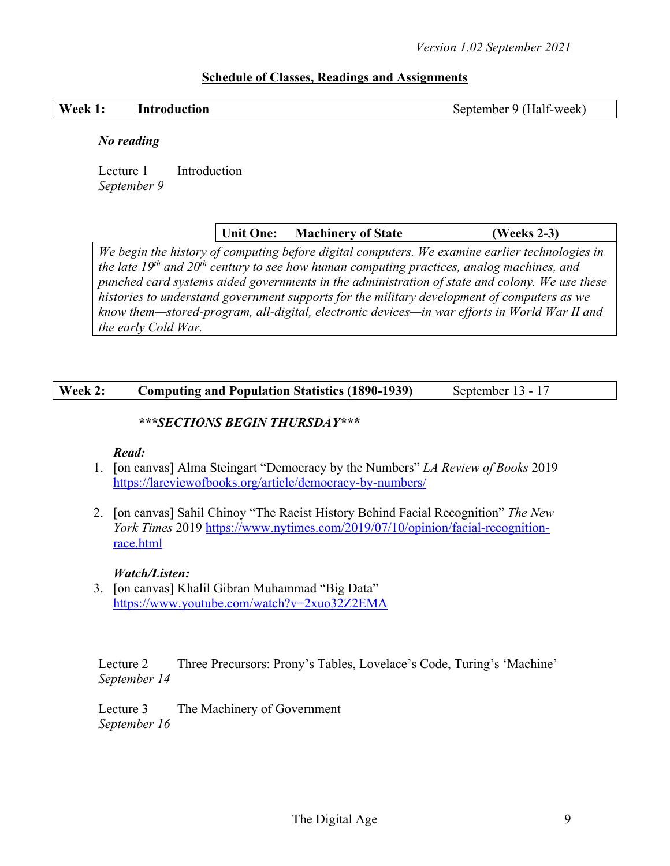# **Schedule of Classes, Readings and Assignments**

#### **Week 1:** Introduction September 9 (Half-week)

#### *No reading*

Lecture 1 Introduction *September 9*

**Unit One: Machinery of State (Weeks 2-3)**

*We begin the history of computing before digital computers. We examine earlier technologies in the late 19th and 20th century to see how human computing practices, analog machines, and punched card systems aided governments in the administration of state and colony. We use these histories to understand government supports for the military development of computers as we know them—stored-program, all-digital, electronic devices—in war efforts in World War II and the early Cold War.* 

# **Week 2: Computing and Population Statistics (1890-1939)** September 13 - 17

# *\*\*\*SECTIONS BEGIN THURSDAY\*\*\**

## *Read:*

- 1. [on canvas] Alma Steingart "Democracy by the Numbers" *LA Review of Books* 2019 https://lareviewofbooks.org/article/democracy-by-numbers/
- 2. [on canvas] Sahil Chinoy "The Racist History Behind Facial Recognition" *The New York Times* 2019 https://www.nytimes.com/2019/07/10/opinion/facial-recognitionrace.html

## *Watch/Listen:*

3. [on canvas] Khalil Gibran Muhammad "Big Data" https://www.youtube.com/watch?v=2xuo32Z2EMA

Lecture 2 Three Precursors: Prony's Tables, Lovelace's Code, Turing's 'Machine' *September 14*

Lecture 3 The Machinery of Government *September 16*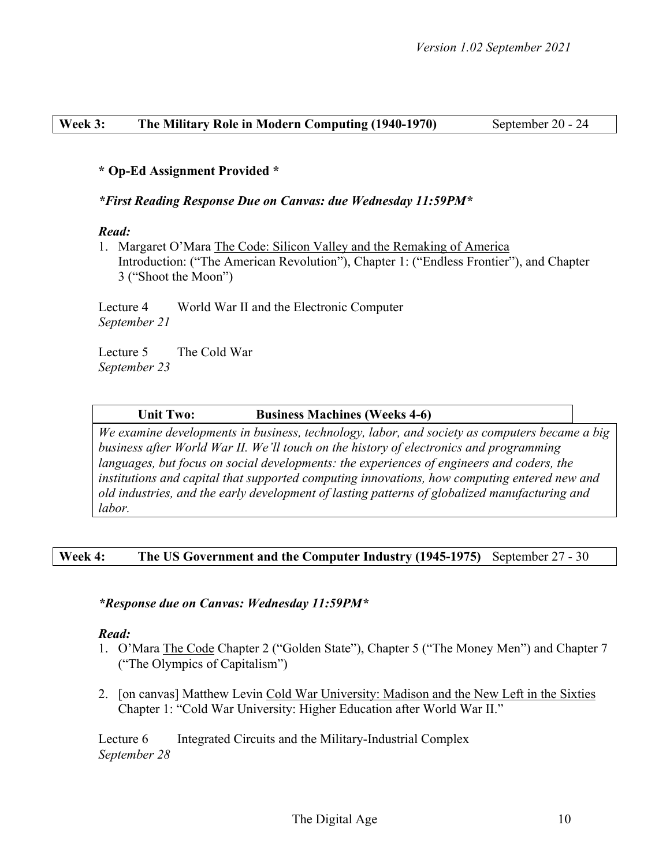## **Week 3: The Military Role in Modern Computing (1940-1970)** September 20 - 24

## **\* Op-Ed Assignment Provided \***

## *\*First Reading Response Due on Canvas: due Wednesday 11:59PM\**

#### *Read:*

1. Margaret O'Mara The Code: Silicon Valley and the Remaking of America Introduction: ("The American Revolution"), Chapter 1: ("Endless Frontier"), and Chapter 3 ("Shoot the Moon")

Lecture 4 World War II and the Electronic Computer *September 21*

Lecture 5 The Cold War *September 23*

#### **Unit Two: Business Machines (Weeks 4-6)**

*We examine developments in business, technology, labor, and society as computers became a big business after World War II. We'll touch on the history of electronics and programming languages, but focus on social developments: the experiences of engineers and coders, the institutions and capital that supported computing innovations, how computing entered new and old industries, and the early development of lasting patterns of globalized manufacturing and labor.*

# **Week 4: The US Government and the Computer Industry (1945-1975)** September 27 - 30

## *\*Response due on Canvas: Wednesday 11:59PM\**

## *Read:*

- 1. O'Mara The Code Chapter 2 ("Golden State"), Chapter 5 ("The Money Men") and Chapter 7 ("The Olympics of Capitalism")
- 2. [on canvas] Matthew Levin Cold War University: Madison and the New Left in the Sixties Chapter 1: "Cold War University: Higher Education after World War II."

Lecture 6 Integrated Circuits and the Military-Industrial Complex *September 28*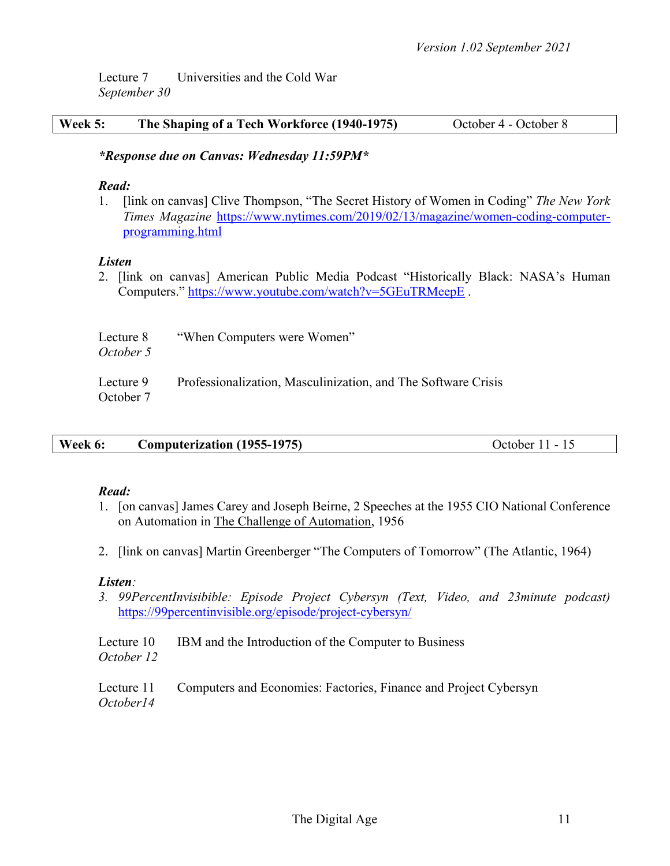Lecture 7 Universities and the Cold War *September 30*

| <b>Week 5:</b> | The Shaping of a Tech Workforce (1940-1975) | October 4 - October 8 |
|----------------|---------------------------------------------|-----------------------|
|----------------|---------------------------------------------|-----------------------|

### *\*Response due on Canvas: Wednesday 11:59PM\**

#### *Read:*

1. [link on canvas] Clive Thompson, "The Secret History of Women in Coding" *The New York Times Magazine* https://www.nytimes.com/2019/02/13/magazine/women-coding-computerprogramming.html

## *Listen*

2. [link on canvas] American Public Media Podcast "Historically Black: NASA's Human Computers." https://www.youtube.com/watch?v=5GEuTRMeepE .

| Lecture 8<br>October 5 | "When Computers were Women"                                   |
|------------------------|---------------------------------------------------------------|
| Lecture 9<br>October 7 | Professionalization, Masculinization, and The Software Crisis |

| Week 6: | <b>Computerization (1955-1975)</b> | October 11 - 15 |
|---------|------------------------------------|-----------------|
|         |                                    |                 |

#### *Read:*

- 1. [on canvas] James Carey and Joseph Beirne, 2 Speeches at the 1955 CIO National Conference on Automation in The Challenge of Automation, 1956
- 2. [link on canvas] Martin Greenberger "The Computers of Tomorrow" (The Atlantic, 1964)

#### *Listen:*

*3. 99PercentInvisibible: Episode Project Cybersyn (Text, Video, and 23minute podcast)*  https://99percentinvisible.org/episode/project-cybersyn/

Lecture 10 IBM and the Introduction of the Computer to Business *October 12*

Lecture 11 Computers and Economies: Factories, Finance and Project Cybersyn *October14*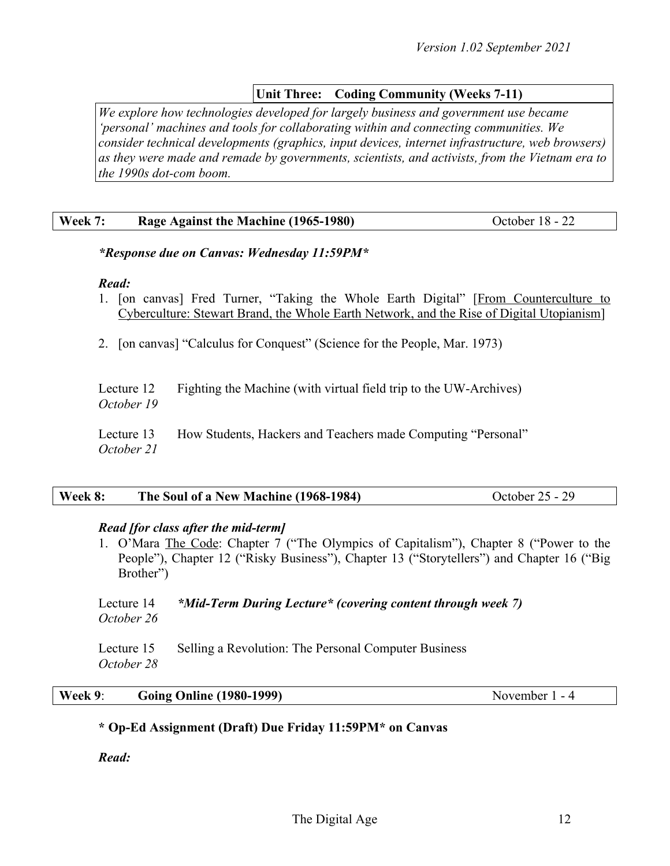# **Unit Three: Coding Community (Weeks 7-11)**

*We explore how technologies developed for largely business and government use became 'personal' machines and tools for collaborating within and connecting communities. We consider technical developments (graphics, input devices, internet infrastructure, web browsers) as they were made and remade by governments, scientists, and activists, from the Vietnam era to the 1990s dot-com boom.*

#### **Week 7:** Rage Against the Machine (1965-1980) October 18 - 22

## *\*Response due on Canvas: Wednesday 11:59PM\**

#### *Read:*

- 1. [on canvas] Fred Turner, "Taking the Whole Earth Digital" [From Counterculture to Cyberculture: Stewart Brand, the Whole Earth Network, and the Rise of Digital Utopianism]
- 2. [on canvas] "Calculus for Conquest" (Science for the People, Mar. 1973)

|            | Lecture 12 Fighting the Machine (with virtual field trip to the UW-Archives) |
|------------|------------------------------------------------------------------------------|
| October 19 |                                                                              |

Lecture 13 How Students, Hackers and Teachers made Computing "Personal" *October 21*

| Week 8: | The Soul of a New Machine (1968-1984) | October 25 - 29 |
|---------|---------------------------------------|-----------------|
|---------|---------------------------------------|-----------------|

## *Read [for class after the mid-term]*

1. O'Mara The Code: Chapter 7 ("The Olympics of Capitalism"), Chapter 8 ("Power to the People"), Chapter 12 ("Risky Business"), Chapter 13 ("Storytellers") and Chapter 16 ("Big Brother")

#### Lecture 14 *\*Mid-Term During Lecture\* (covering content through week 7) October 26*

Lecture 15 Selling a Revolution: The Personal Computer Business *October 28*

#### **Week 9**: **Going Online (1980-1999)** November 1 - 4

## **\* Op-Ed Assignment (Draft) Due Friday 11:59PM\* on Canvas**

*Read:*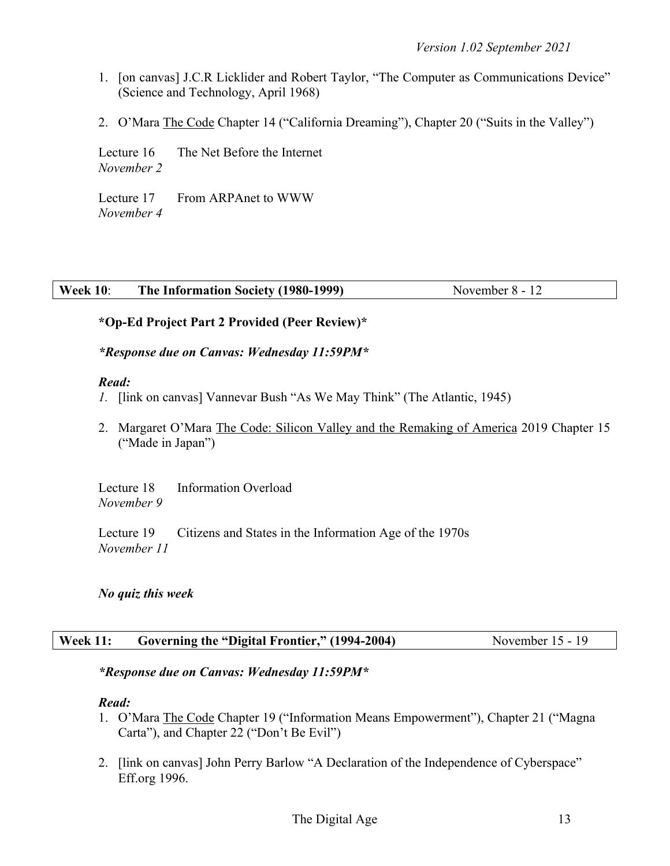- 1. [on canvas] J.C.R Licklider and Robert Taylor, "The Computer as Communications Device" (Science and Technology, April 1968)
- 2. O'Mara The Code Chapter 14 ("California Dreaming"), Chapter 20 ("Suits in the Valley")

Lecture 16 The Net Before the Internet *November 2*

Lecture 17 From ARPAnet to WWW *November 4*

# **Week 10: The Information Society (1980-1999)** November 8 - 12

# **\*Op-Ed Project Part 2 Provided (Peer Review)\***

## *\*Response due on Canvas: Wednesday 11:59PM\**

#### *Read:*

- *1.* [link on canvas] Vannevar Bush "As We May Think" (The Atlantic, 1945)
- 2. Margaret O'Mara The Code: Silicon Valley and the Remaking of America 2019 Chapter 15 ("Made in Japan")

Lecture 18 Information Overload *November 9*

Lecture 19 Citizens and States in the Information Age of the 1970s *November 11*

## *No quiz this week*

## **Week 11: Governing the "Digital Frontier," (1994-2004)** November 15 - 19

## *\*Response due on Canvas: Wednesday 11:59PM\**

## *Read:*

- 1. O'Mara The Code Chapter 19 ("Information Means Empowerment"), Chapter 21 ("Magna Carta"), and Chapter 22 ("Don't Be Evil")
- 2. [link on canvas] John Perry Barlow "A Declaration of the Independence of Cyberspace" Eff.org 1996.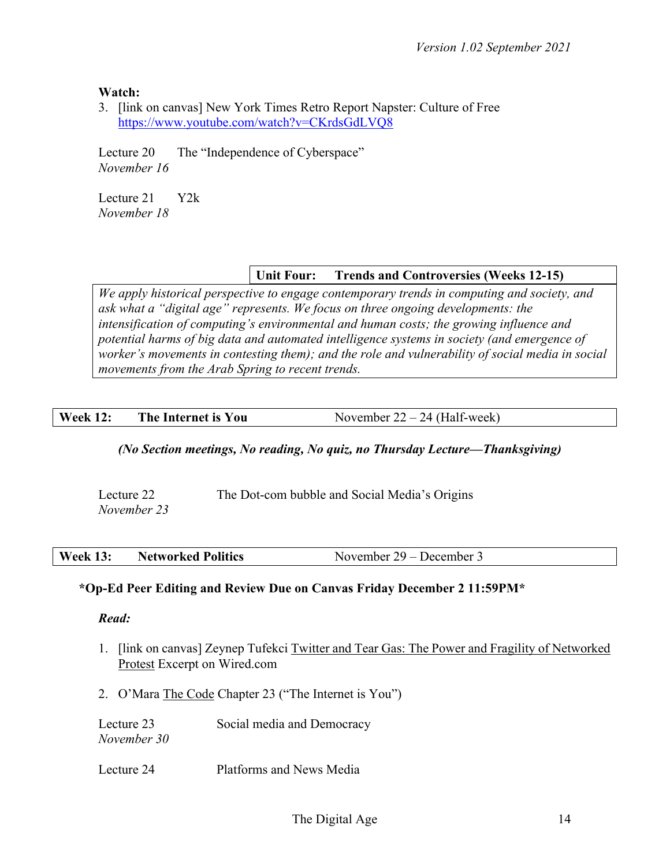**Watch:**

3. [link on canvas] New York Times Retro Report Napster: Culture of Free https://www.youtube.com/watch?v=CKrdsGdLVQ8

Lecture 20 The "Independence of Cyberspace" *November 16*

Lecture 21 Y2k *November 18*

# **Unit Four: Trends and Controversies (Weeks 12-15)**

*We apply historical perspective to engage contemporary trends in computing and society, and ask what a "digital age" represents. We focus on three ongoing developments: the intensification of computing's environmental and human costs; the growing influence and potential harms of big data and automated intelligence systems in society (and emergence of worker's movements in contesting them); and the role and vulnerability of social media in social movements from the Arab Spring to recent trends.*

# **Week 12:** The Internet is You November 22 – 24 (Half-week)

# *(No Section meetings, No reading, No quiz, no Thursday Lecture—Thanksgiving)*

Lecture 22 The Dot-com bubble and Social Media's Origins *November 23*

# **\*Op-Ed Peer Editing and Review Due on Canvas Friday December 2 11:59PM\***

*Read:*

- 1. [link on canvas] Zeynep Tufekci Twitter and Tear Gas: The Power and Fragility of Networked Protest Excerpt on Wired.com
- 2. O'Mara The Code Chapter 23 ("The Internet is You")

| Lecture 23  | Social media and Democracy |
|-------------|----------------------------|
| November 30 |                            |

Lecture 24 Platforms and News Media